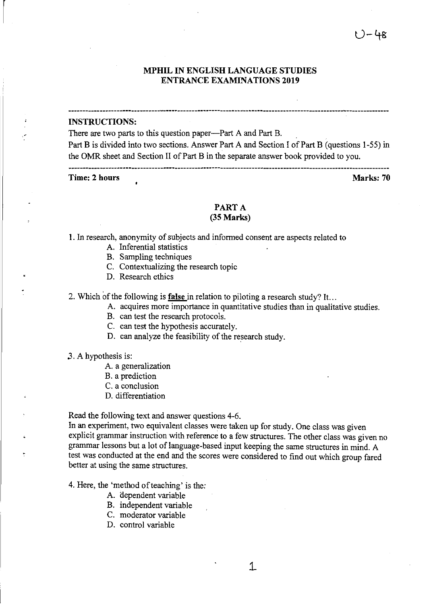### MPHIL IN ENGLISH LANGUAGE STUDIES ENTRANCE EXAMINATIONS 2019

INSTRUCTIONS:

There are two parts to this question paper—Part A and Part B.

Part B is divided into two sections. Answer Part A and Section I of Part B (questions 1-55) in the OMR sheet and Section II of Part B in the separate answer book provided to you.

Time: 2 hours

Marks: 70

#### PART A (35 Marks)

1. In research, anonymity of subjects and informed consent are aspects related to

- A. Inferential statistics
- B. Sampling techniques
- C. Contextualizing the research topic
- D. Research ethics

2. Which of the following is **false** in relation to piloting a research study? It...

A. acquires more importance in quantitative studies than in qualitative studies.

B. can test the research protocols.

C. can test the hypothesis accurately.

D. can analyze the feasibility of the research study.

.3. A hypothesis is:

- A. a generalization
- B. a prediction
- C. a conclusion
- D. differentiation

Read the following text and answer questions 4-6.

In an experiment, two equivalent classes were taken up for study. One class was given explicit grammar instruction with reference to a few structures. The other class was given no grammar lessons but a lot of language-based input keeping the same structures in mind. A test was conducted at the end and the scores were considered to find out which group fared better at using the same structures.

4. Here, the 'method of teaching' is the:

- A. dependent variable
- B. independent variable
- C. moderator variable
- D. control variable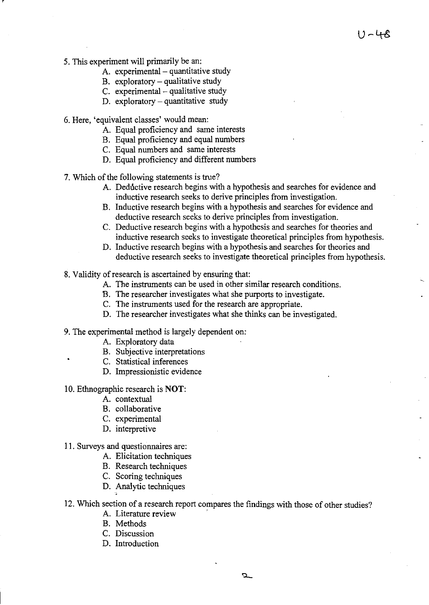$11 - 48$ 

- 5. This experiment will primarily be an:
	- A. experimental  $-$  quantitative study
	- $B.$  exploratory qualitative study
	- C. experimental qualitative study
	- D. exploratory  $-$  quantitative study
- 6. Here, 'equivalent classes' would mean:
	- A. Equal proficiency and same interests
	- B. Equal proficiency and equal numbers
	- C. Equal numbers and same interests
	- D. Equal proficiency and different numbers

7. Which of the following statements is true?

- A. Deductive research begins with a hypothesis and searches for evidence and inductive research seeks to derive principles from investigation.
- B. Inductive research begins with a hypothesis and searches for evidence and deductive research seeks to derive principles from investigation.
- C. Deductive research begins with a hypothesis and searches for theories and inductive research seeks to investigate theoretical principles from hypothesis.
- D. Inductive research begins with a hypothesis. and searches for theories and deductive research seeks to investigate theoretical principles from hypothesis.
- 8. Validity of research is ascertained by ensuring that:
	- A. The instruments can be used in other similar research conditions.
	- B. The researcher investigates what she purports to investigate.
	- C. The instruments used for the research are appropriate.
	- D. The researcher investigates what she thinks can be investigated.

9. The experimental method is largely dependent on:

- A. Exploratory data
- B. Subjective interpretations
- C. Statistical inferences
- D. Impressionistic evidence
- 10. Ethnographic research is **NOT:** 
	- A. contextual
	- B. collaborative
	- C. experimental
	- D. interpretive
- 11. Surveys and questionnaires are:
	- A. Elicitation techniques
	- B. Research techniques
	- C. Scoring techniques
	- D. Analytic techniques
- 12. Which section of a research report compares the findings with those of other studies?
	- A. Literature review
	- B. Methods
	- C. Discussion
	- D. Introduction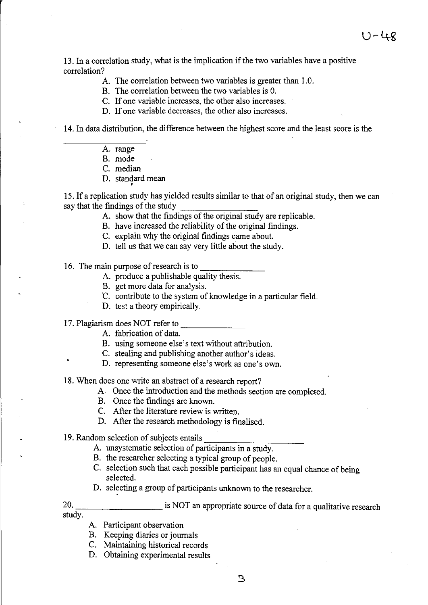13. In a correlation study, what is the implication if the two variables have a positive correlation?

 $12 - 48$ 

- A. The correlation between two variables is greater than 1.0.
- B. The correlation between the two variables is O.
- C. If one variable increases, the other also increases.
- D. If one variable decreases, the other also increases.

14. In data distribution, the difference between the highest score and the least score is the

A. range

B. mode

C. median

D. standard mean

15. If a replication study has yielded results similar to that of an original study, then we can say that the findings of the study

- A. show that the findings of the original study are replicable.
- B. have increased the reliability of the original findings.
- C. explain why the original findings came about.
- D. tell us that we can say very little about the study.

16. The main purpose of research is to

- A. produce a publishable quality thesis.
- B. get more data for analysis.
- C. contribute to the system of knowledge in a particular field.
- D. test a theory empirically.

17. Plagiarism does NOT refer to

- A. fabrication of data.
- B. using someone else's text without attribution.
- C. stealing and publishing another author's ideas.
- D. representing someone else's work as one's own.

18. When does one write an abstract of a research report?

- A. Once the introduction and the methods section are completed.
- B. Once the findings are known.
- C. After the literature review is written.
- D. After the research methodology is finalised.
- 19. Random selection of subjects entails
	- A. unsystematic selection of participants in a study.
	- B. the researcher selecting a typical group of people.
	- C. selection such that each possible participant has an equal chance of being selected.
	- D. selecting a group of participants unknown to the researcher.

20. \_\_\_\_\_\_\_\_\_\_\_\_\_\_\_\_\_\_\_\_\_\_ is NOT an appropriate source of data for a qualitative research study.

- A. Participant observation
- B. Keeping diaries or journals
- C. Maintaining historical records
- D. Obtaining experimental results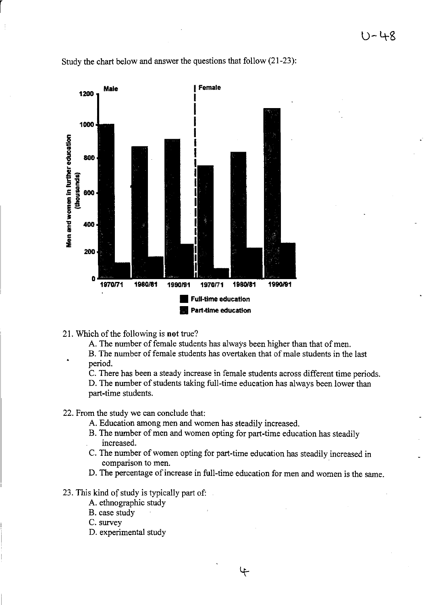

Study the chart below and answer the questions that follow (21-23):

21. Which of the following is **not** true?

A. The number of female students has always been higher than that of men.

B. The number of female students has overtaken that of male students in the last period.

C. There has been a steady increase in female students across different time periods. D. The number of students taking full-time education has always been lower than part-time students.

- 22. From the study we can conclude that:
	- A. Education among men and women has steadily increased.
	- B. The number of men and women opting for part-time education has steadily increased.
	- C. The number of women opting for part-time education has steadily increased in comparison to men.
	- D. The percentage of increase in full-time education for men and women is the same.

ᡩ

- 23. This kind of study is typically part of:
	- A. ethnographic study
	- B. case study
	- C. survey
	- D. experimental study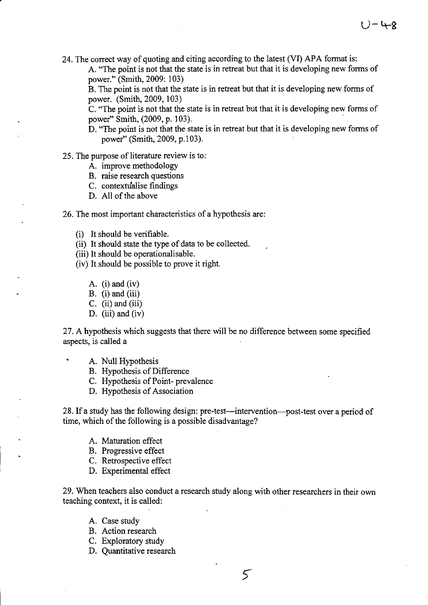24. The correct way of quoting and citing according to the latest (VI) APA format is:

A. "The point is not that the state is in retreat but that it is developing new forms of power." (Smith, 2009: 103)

B. The point is not that the state is in retreat but that it is developing new forms of power. (Smith, 2009,103)

C. "The point is not that the state is in retreat but that it is developing new forms of power" Smith, (2009, p. 103).

D. "The point is not that the state is in retreat but that it is developing new forms of power" (Smith, 2009, p.103).

### 25. The purpose of literature review is to:

- A. improve methodology
- B. raise research questions
- C. contextualise findings
- D. All of the above
- 26. The most important characteristics of a hypothesis are:
	- (i) It should be verifiable.
	- (ii) It should state the type of data to be collected.
	- (iii) It should be operationalisable.
	- (iv) It should be possible to prove it right.
		- A.  $(i)$  and  $(iv)$
		- B.  $(i)$  and  $(iii)$
		- C.  $(ii)$  and  $(iii)$
		- D. (iii) and (iv)

27. A hypothesis which suggests that there will be no difference between some specified aspects, is called a

- A. Null Hypothesis
	- B. Hypothesis of Difference
	- C. Hypothesis of Point- prevalence
	- D. Hypothesis of Association

28. If a study has the following design: pre-test-intervention-post-test over a period of time, which of the following is a possible disadvantage?

- A. Maturation effect
- B. Progressive effect
- C. Retrospective effect
- D. Experimental effect

29. When teachers also conduct a research study along with other researchers in their own teaching context, it is called:

- A. Case study
- B. Action research
- C. Exploratory study
- D. Quantitative research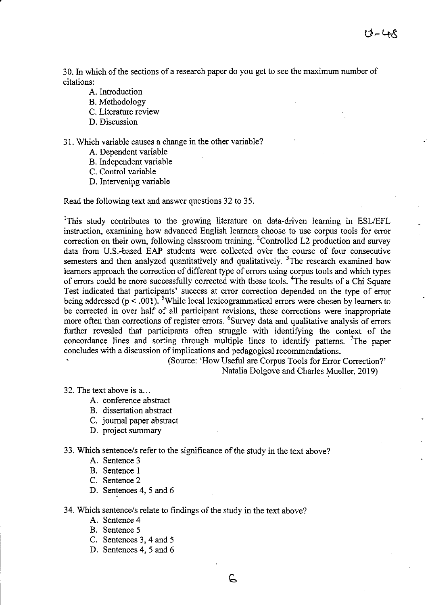30. In which of the sections of a research paper do you get to see the maximum number of citations:

- A. Introduction
- B. Methodology
- C. Literature review
- D. Discussion

#### 31. Which variable causes a change in the other variable?

- A. Dependent variable
- B. Independent variable
- C. Control variable
- D. Intervenipg variable

Read the following text and answer questions 32 to 35.

<sup>I</sup>This study contributes to the growing literature on data-driven learning in ESL/EFL instruction, examining how advanced English learners choose to use corpus tools for error correction on their own, following classroom training. <sup>2</sup>Controlled L2 production and survey data from U.S.-based EAP students were collected over the course of four consecutive semesters and then analyzed quantitatively and qualitatively.  $3\text{The research examined how}$ learners approach the correction of different type of errors using corpus tools and which types of errors could be more successfully corrected with these tools. 4The results of a Chi Square Test indicated that participants' success at error correction depended on the type of error being addressed ( $p < .001$ ). <sup>5</sup>While local lexicogrammatical errors were chosen by learners to be corrected in over half of all participant revisions, these corrections were inappropriate more often than corrections of register errors. <sup>6</sup>Survey data and qualitative analysis of errors further revealed that participants often struggle with identifying the context of the concordance lines and sorting through multiple lines to identify patterns. <sup>7</sup>The paper concludes with a discussion of implications and pedagogical recommendations.

(Source: 'How Useful are Corpus Tools for Error Correction?' Natalia Dolgove and Charles Mueller, 2019)

32. The text above is a...

- A. conference abstract
- B. dissertation abstract
- C. journal paper abstract
- D. project summary

33. Which sentence/s refer to the significance of the study in the text above?

- A. Sentence 3
- B. Sentence 1
- C. Sentence 2
- D. Sentences 4, 5 and 6

34. Which sentence/s relate to findings of the study in the text above?

- A. Sentence 4
- B. Sentence 5
- C. Sentences 3, 4 and 5
- D. Sentences 4, 5 and 6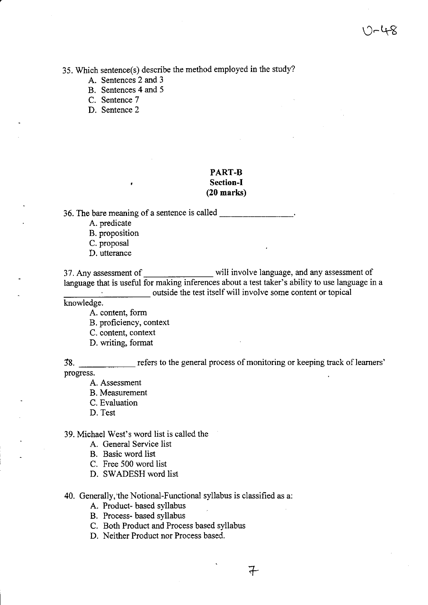35. Which sentence(s) describe the method employed in the study?

- A. Sentences 2 and 3
- B. Sentences 4 and 5
- C. Sentence 7
- D. Sentence 2

### **PART-B Section-I (20 marks)**

36. The bare meaning of a sentence is called \_\_\_\_\_\_\_ \_

- A. predicate
- B. proposition
- C. proposal
- D. utterance

37. Any assessment of will involve language, and any assessment of language that is useful for making inferences about a test taker's ability to use language in a the soutside the test itself will involve some content or topical

knowledge.

- A. content, form
- B. proficiency, context
- C. content, context
- D. writing, format

j8. \_\_\_\_\_\_ refers to the general process of monitoring or keeping track oflearners' progress.

 $\mp$ 

- A. Assessment
- B. Measurement
- C. Evaluation
- D. Test

39. Michael West's word list is called the

- A. General Service list
- B. Basic word list
- C. Free 500 word list
- D. SWADESH word list

# 40. Generally, the Notional-Functional syllabus is classified as a:

- A. Product- based syllabus
- B. Process- based syllabus
- C. Both Product and Process based syllabus
- D. Neither Product nor Process based.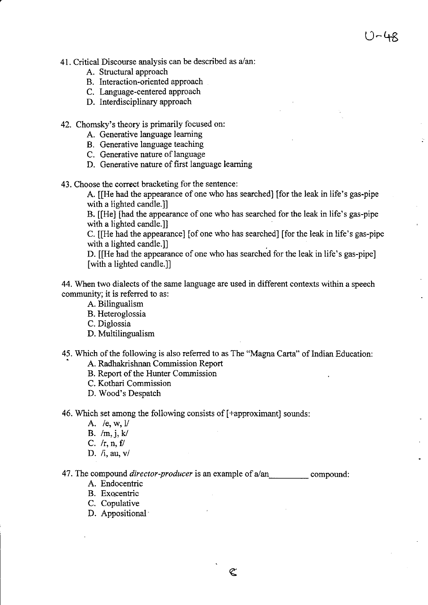- A. Structural approach
- B. Interaction-oriented approach
- C. Language-centered approach
- D. Interdisciplinary approach
- 42. Chomsky's theory is primarily focused on:
	- A. Generative language learning
	- B. Generative language teaching
	- C. Generative nature of language
	- D. Generative nature of first language learning
- 43. Choose the correct bracketing for the sentence:

A. [[He had the appearance of one who has searched] [for the leak in life's gas-pipe with a lighted candle.]]

U-48

B. [[He] [had the appearance of one who has searched for the leak in life's gas-pipe with a lighted candle.]]

C. [[He had the appearance] [of one who has searched] [for the leak in life's gas-pipe with a lighted candle.]

D. [[He had the appearance of one who has searched for the leak in life's gas-pipe] [with a lighted candle.]]

44. When two dialects of the same language are used in different contexts within a speech community; it is referred to as:

- A. Bilingualism
- B. Heteroglossia
- C. Diglossia
- D. Multilingualism

45. Which of the following is also referred to as The "Magna Carta" of Indian Education:

- A. Radhakrishnan Commission Report
- B. Report of the Hunter Commission
- C. Kothari Commission
- D. Wood's Despatch

46. Which set among the following consists of [+approximant] sounds:

- A.  $/e$ , w,  $l$
- B.  $/m$ , j, k/
- C.  $/r$ , n, f
- D. Ii, au, *vi*

47. The compound *director-producer* is an example of a/an compound:

- A. Endocentric
- B. Exocentric
- C. Copulative
- D. Appositional'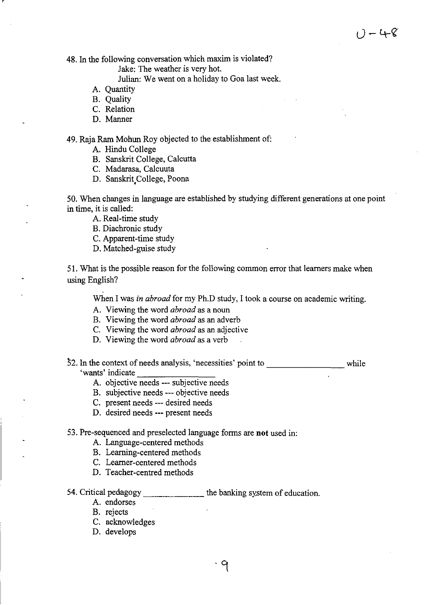48. In the following conversation which maxim is violated?

Jake: The weather is very hot.

Julian: We went on a holiday to Goa last week.

A. Quantity

B. Quality

C. Relation

D. Manner

49. Raja Ram Mohun Roy objected to the establishment of:

- A. Hindu College
- B. Sanskrit College, Calcutta
- C. Madarasa, Calcuuta
- D. Sanskrit College, Poona

50. When changes in language are established by studying different generations at one point in time, it is called:

- A. Real-time study
- B. Diachronic study
- C. Apparent-time study
- D. Matched-guise study

51. What is the possible reason for the following common error that learners make when using English?

When I was *in abroad* for my Ph.D study, I took a course on academic writing.

- A. Viewing the word *abroad* as a noun
- B. Viewing the word *abroad* as an adverb
- C. Viewing the word *abroad* as an adjective
- D. Viewing the word *abroad* as a verb

 $\frac{2}{52}$ . In the context of needs analysis, 'necessities' point to \_\_\_\_\_\_\_\_\_\_\_\_\_\_\_ while In the context of needs analysis, necess<br>'wants' indicate

- A. objective needs **---** subjective needs
- B. subjective needs **---** objective needs
- C. present needs **---** desired needs
- D. desired needs **---** present needs

53. Pre-sequenced and preselected language forms are **not** used in:

- A. Language-centered methods
- B. Learning-centered methods
- C. Learner-centered methods
- D. Teacher-centred methods

54. Critical pedagogy \_\_\_\_\_\_\_\_\_\_\_\_\_\_\_ the banking system of education.

- A. endorses
- B. rejects
- C. acknowledges
- D. develops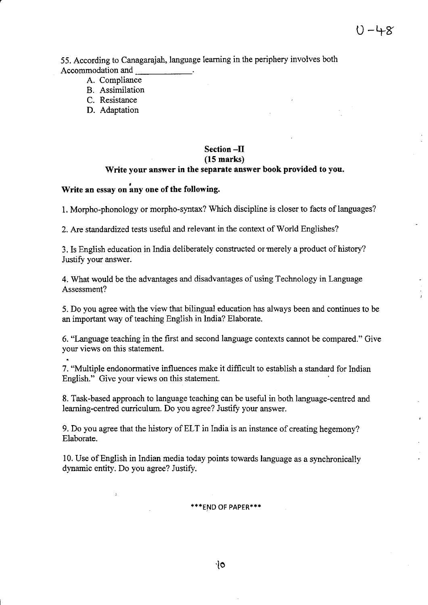55. According to Canagarajah, language learning in the periphery involves both Accommodation and \_\_\_\_\_\_\_\_\_\_\_\_\_.

- A. Compliance
- B. Assimilation
- C. Resistance
- D. Adaptation

## **Section -II (15 marks)**

# **Write your answer in the separate answer book provided to you.**

## Write an essay on any one of the following.

1. Morpho-phonology or morpho-syntax? Which discipline is closer to facts of languages?

2. Are standardized tests useful and relevant in the context of World Englishes?

3. Is English education in India deliberately constructed ormerely a product of history? Justify your answer.

4. What would be the advantages and disadvantages of using Technology in Language Assessment?

5. Do you agree with the view that bilingual education has always been and continues to be an important way of teaching English in India? Elaborate.

6. "Language teaching in the first and second language contexts cannot be compared." Give your views on this statement.

7. "Multiple endonormative influences make it difficult to establish a standard for Indian English." Give your views on this statement.

8. Task-based approach to language teaching can be useful in both language-centred and learning-centred curriculum. Do you agree? Justify your answer.

9. Do you agree that the history of ELT in India is an instance of creating hegemony? Elaborate.

10. Use of English in Indian media today points towards language as a synchronically dynamic entity. Do you agree? Justify.

\*\*\*END OF PAPER\*\*\*